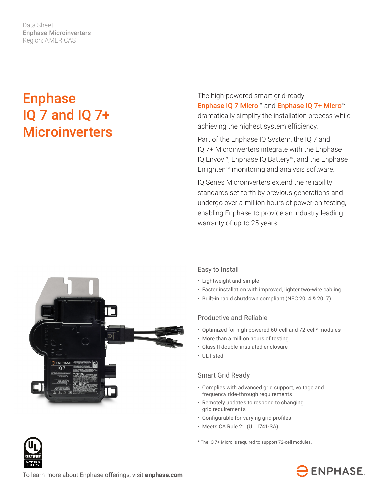Data Sheet Enphase Microinverters Region: AMERICAS

# Enphase IQ 7 and IQ 7+ **Microinverters**

The high-powered smart grid-ready Enphase IQ 7 Micro™ and Enphase IQ 7+ Micro™ dramatically simplify the installation process while achieving the highest system efficiency.

Part of the Enphase IQ System, the IQ 7 and IQ 7+ Microinverters integrate with the Enphase IQ Envoy™, Enphase IQ Battery™, and the Enphase Enlighten™ monitoring and analysis software.

IQ Series Microinverters extend the reliability standards set forth by previous generations and undergo over a million hours of power-on testing, enabling Enphase to provide an industry-leading warranty of up to 25 years.



### Easy to Install

- Lightweight and simple
- Faster installation with improved, lighter two-wire cabling
- Built-in rapid shutdown compliant (NEC 2014 & 2017)

#### Productive and Reliable

- Optimized for high powered 60-cell and 72-cell\* modules
- More than a million hours of testing
- Class II double-insulated enclosure
- UL listed

#### Smart Grid Ready

- Complies with advanced grid support, voltage and frequency ride-through requirements
- Remotely updates to respond to changing grid requirements
- • Configurable for varying grid profiles
- Meets CA Rule 21 (UL 1741-SA)

\* The IQ 7+ Micro is required to support 72-cell modules.